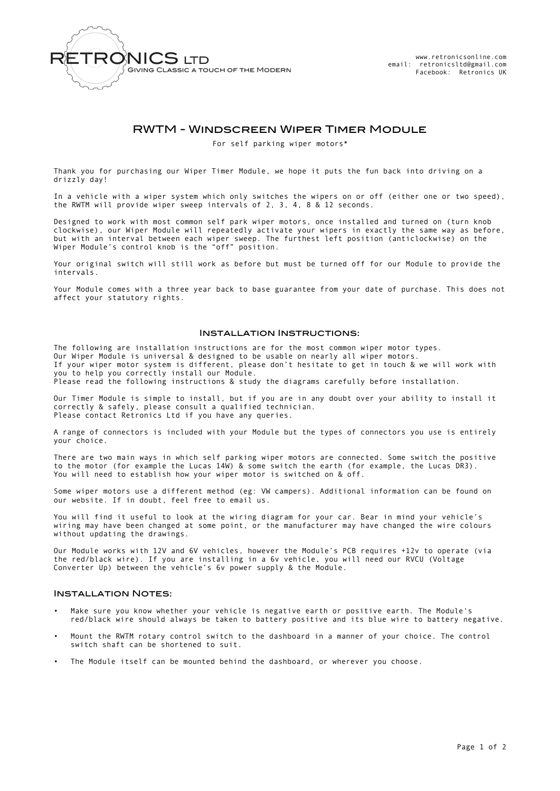

# RWTM - Windscreen Wiper Timer Module

For self parking wiper motors\*

Thank you for purchasing our Wiper Timer Module, we hope it puts the fun back into driving on a drizzly day!

In a vehicle with a wiper system which only switches the wipers on or off (either one or two speed), the RWTM will provide wiper sweep intervals of 2, 3, 4, 8 & 12 seconds.

Designed to work with most common self park wiper motors, once installed and turned on (turn knob clockwise), our Wiper Module will repeatedly activate your wipers in exactly the same way as before, but with an interval between each wiper sweep. The furthest left position (anticlockwise) on the Wiper Module's control knob is the "off" position.

Your original switch will still work as before but must be turned off for our Module to provide the intervals.

Your Module comes with a three year back to base guarantee from your date of purchase. This does not affect your statutory rights.

## Installation Instructions:

The following are installation instructions are for the most common wiper motor types. Our Wiper Module is universal & designed to be usable on nearly all wiper motors. If your wiper motor system is different, please don't hesitate to get in touch & we will work with you to help you correctly install our Module. Please read the following instructions & study the diagrams carefully before installation.

Our Timer Module is simple to install, but if you are in any doubt over your ability to install it correctly & safely, please consult a qualified technician. Please contact Retronics Ltd if you have any queries.

A range of connectors is included with your Module but the types of connectors you use is entirely your choice.

There are two main ways in which self parking wiper motors are connected. Some switch the positive to the motor (for example the Lucas 14W) & some switch the earth (for example, the Lucas DR3). You will need to establish how your wiper motor is switched on & off.

Some wiper motors use a different method (eg: VW campers). Additional information can be found on our website. If in doubt, feel free to email us.

You will find it useful to look at the wiring diagram for your car. Bear in mind your vehicle's wiring may have been changed at some point, or the manufacturer may have changed the wire colours without updating the drawings.

Our Module works with 12V and 6V vehicles, however the Module's PCB requires +12v to operate (via the red/black wire). If you are installing in a 6v vehicle, you will need our RVCU (Voltage Converter Up) between the vehicle's 6v power supply & the Module.

## Installation Notes:

- Make sure you know whether your vehicle is negative earth or positive earth. The Module's red/black wire should always be taken to battery positive and its blue wire to battery negative.
- Mount the RWTM rotary control switch to the dashboard in a manner of your choice. The control switch shaft can be shortened to suit.
- The Module itself can be mounted behind the dashboard, or wherever you choose.